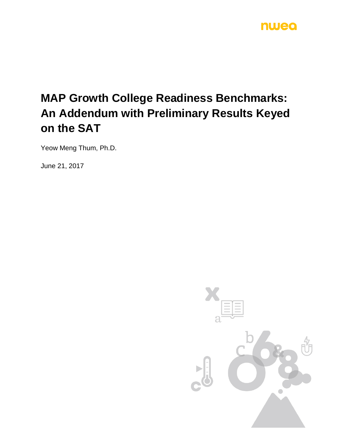## nwea

# **MAP Growth College Readiness Benchmarks: An Addendum with Preliminary Results Keyed on the SAT**

Yeow Meng Thum, Ph.D.

June 21, 2017

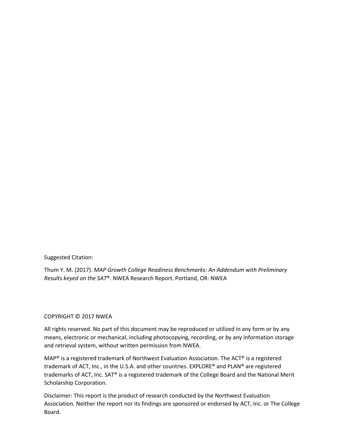Suggested Citation:

Thum Y. M. (2017). *MAP Growth College Readiness Benchmarks: An Addendum with Preliminary Results keyed on the SAT*®. NWEA Research Report. Portland, OR: NWEA

### COPYRIGHT © 2017 NWEA

All rights reserved. No part of this document may be reproduced or utilized in any form or by any means, electronic or mechanical, including photocopying, recording, or by any information storage and retrieval system, without written permission from NWEA.

MAP® is a registered trademark of Northwest Evaluation Association. The ACT® is a registered trademark of ACT, Inc., in the U.S.A. and other countries. EXPLORE® and PLAN® are registered trademarks of ACT, Inc. SAT® is a registered trademark of the College Board and the National Merit Scholarship Corporation.

Disclaimer: This report is the product of research conducted by the Northwest Evaluation Association. Neither the report nor its findings are sponsored or endorsed by ACT, Inc. or The College Board.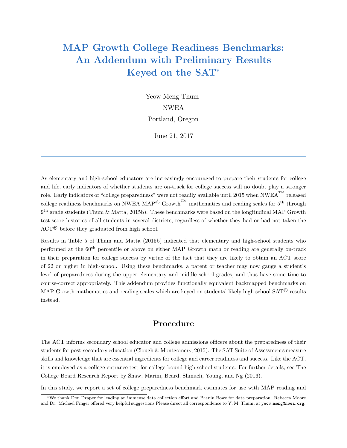## MAP Growth College Readiness Benchmarks: An Addendum with Preliminary Results Keyed on the SAT<sup>∗</sup>

Yeow Meng Thum NWEA Portland, Oregon

June 21, 2017

As elementary and high-school educators are increasingly encouraged to prepare their students for college and life, early indicators of whether students are on-track for college success will no doubt play a stronger role. Early indicators of "college preparedness" were not readily available until 2015 when NWEA<sup>TM</sup> released college readiness benchmarks on NWEA MAP<sup>®</sup> Growth<sup>TM</sup> mathematics and reading scales for 5<sup>th</sup> through  $9<sup>th</sup>$  grade students (Thum & Matta, 2015b). These benchmarks were based on the longitudinal MAP Growth test-score histories of all students in several districts, regardless of whether they had or had not taken the ACT <sup>R</sup> before they graduated from high school.

Results in Table 5 of Thum and Matta (2015b) indicated that elementary and high-school students who performed at the 60<sup>th</sup> percentile or above on either MAP Growth math or reading are generally on-track in their preparation for college success by virtue of the fact that they are likely to obtain an ACT score of 22 or higher in high-school. Using these benchmarks, a parent or teacher may now gauge a student's level of preparedness during the upper elementary and middle school grades, and thus have some time to course-correct appropriately. This addendum provides functionally equivalent backmapped benchmarks on MAP Growth mathematics and reading scales which are keyed on students' likely high school  $SAT^{\circledR}$  results instead.

## Procedure

The ACT informs secondary school educator and college admissions officers about the preparedness of their students for post-secondary education (Clough & Montgomery, 2015). The SAT Suite of Assessments measure skills and knowledge that are essential ingredients for college and career readiness and success. Like the ACT, it is employed as a college-entrance test for college-bound high school students. For further details, see The College Board Research Report by Shaw, Marini, Beard, Shmueli, Young, and Ng (2016).

In this study, we report a set of college preparedness benchmark estimates for use with MAP reading and

<sup>∗</sup>We thank Don Draper for leading an immense data collection effort and Branin Bowe for data preparation. Rebecca Moore and Dr. Michael Finger offered very helpful suggestions Please direct all correspondence to Y. M. Thum, at yeow.meng@nwea.org.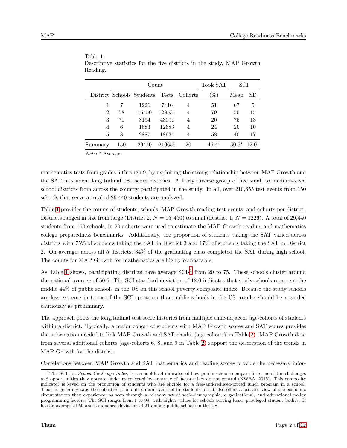|                |     | Count                           |        |         | Took SAT |         | SCI     |  |
|----------------|-----|---------------------------------|--------|---------|----------|---------|---------|--|
|                |     | District Schools Students Tests |        | Cohorts | $\% )$   | Mean    | SD      |  |
|                |     | 1226                            | 7416   | 4       | 51       | 67      | 5       |  |
| $\overline{2}$ | 58  | 15450                           | 128531 | 4       | 79       | 50      | 15      |  |
| 3              | 71  | 8194                            | 43091  | 4       | 20       | 75      | 13      |  |
| 4              | 6   | 1683                            | 12683  | 4       | 24       | 20      | 10      |  |
| 5              | 8   | 2887                            | 18934  | 4       | 58       | 40      | 17      |  |
| Summary        | 150 | 29440                           | 210655 | 20      | $46.4*$  | $50.5*$ | $12.0*$ |  |

<span id="page-3-0"></span>

| Table 1:                                                               |  |  |  |  |  |
|------------------------------------------------------------------------|--|--|--|--|--|
| Descriptive statistics for the five districts in the study, MAP Growth |  |  |  |  |  |
| Reading.                                                               |  |  |  |  |  |

Note: \* Average.

mathematics tests from grades 5 through 9, by exploiting the strong relationship between MAP Growth and the SAT in student longitudinal test score histories. A fairly diverse group of five small to medium-sized school districts from across the country participated in the study. In all, over 210,655 test events from 150 schools that serve a total of 29,440 students are analyzed.

Table [1](#page-3-0) provides the counts of students, schools, MAP Growth reading test events, and cohorts per district. Districts ranged in size from large (District 2,  $N = 15,450$ ) to small (District 1,  $N = 1226$ ). A total of 29,440 students from 150 schools, in 20 cohorts were used to estimate the MAP Growth reading and mathematics college preparedness benchmarks. Additionally, the proportion of students taking the SAT varied across districts with 75% of students taking the SAT in District 3 and 17% of students taking the SAT in District 2. On average, across all 5 districts, 34% of the graduating class completed the SAT during high school. The counts for MAP Growth for mathematics are highly comparable.

As Table [1](#page-3-0) shows, participating districts have average  $SCIs<sup>1</sup>$  $SCIs<sup>1</sup>$  $SCIs<sup>1</sup>$  from 20 to 75. These schools cluster around the national average of 50.5. The SCI standard deviation of 12.0 indicates that study schools represent the middle 44% of public schools in the US on this school poverty composite index. Because the study schools are less extreme in terms of the SCI spectrum than public schools in the US, results should be regarded cautiously as preliminary.

The approach pools the longitudinal test score histories from multiple time-adjacent age-cohorts of students within a district. Typically, a major cohort of students with MAP Growth scores and SAT scores provides the information needed to link MAP Growth and SAT results (age-cohort 7 in Table [2\)](#page-4-0). MAP Growth data from several additional cohorts (age-cohorts 6, 8, and 9 in Table [2\)](#page-4-0) support the description of the trends in MAP Growth for the district.

Correlations between MAP Growth and SAT mathematics and reading scores provide the necessary infor-

<span id="page-3-1"></span><sup>&</sup>lt;sup>1</sup>The SCI, for *School Challenge Index*, is a school-level indicator of how public schools compare in terms of the challenges and opportunities they operate under as reflected by an array of factors they do not control (NWEA, 2015). This composite indicator is keyed on the proportion of students who are eligible for a free-and-reduced-priced lunch program in a school. Thus, it generally taps the collective economic circumstance of its students but it also offers a broader view of the economic circumstances they experience, as seen through a relevant set of socio-demographic, organizational, and educational policy programming factors. The SCI ranges from 1 to 99, with higher values for schools serving lesser-privileged student bodies. It has an average of 50 and a standard deviation of 21 among public schools in the US.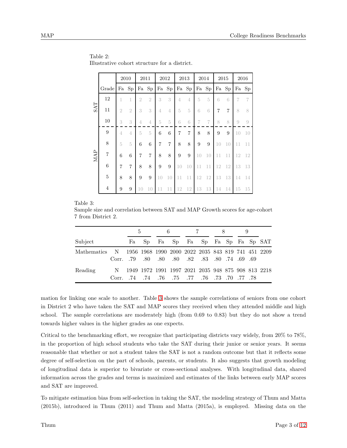|            |                                                                   |                | 2010           | 2011           |                |                  | 2012           |                | 2013           |    | 2014      | 2015 |                |    | 2016           |
|------------|-------------------------------------------------------------------|----------------|----------------|----------------|----------------|------------------|----------------|----------------|----------------|----|-----------|------|----------------|----|----------------|
|            | Grade                                                             | Fa             | Sp             | Fa             | Sp             | Fa               | Sp             |                | Fa Sp          | Fa | <b>Sp</b> | Fa   | Sp             |    | Fa Sp          |
|            | 12                                                                |                | 1              | $\overline{2}$ | $\overline{2}$ | 3                | 3              | 4              | $\overline{4}$ | 5  | 5         | 6    | 6              | 7  | 7              |
| <b>SAT</b> | 11                                                                | $\overline{2}$ | $\overline{2}$ | 3              | 3              | 4                | 4              | 5              | 5              | 6  | 6         | 7    | $\overline{7}$ | 8  | 8              |
|            | 10                                                                | 3              | 3              | 4              | 4              | 5                | $5\,$          | 6              | 6              | 7  | 7         | 8    | 8              | 9  | $\overline{9}$ |
|            | 9                                                                 | $\overline{4}$ | $\overline{4}$ | 5              | 5              | 6                | 6              | $\overline{7}$ | $\overline{7}$ | 8  | 8         | 9    | 9              | 10 | 10             |
|            | 8                                                                 | 5              | $\overline{5}$ | 6              | 6              | $\overline{7}$   | $\overline{7}$ | $8\,$          | 8              | 9  | 9         | 10   | 10             | 11 | 11             |
| MAP        | $\overline{7}$                                                    | 6              | 6              | $\overline{7}$ | $\overline{7}$ | 8                | 8              | 9              | 9              | 10 | 10        | 11   | 11             | 12 | 12             |
|            | $\boldsymbol{6}$                                                  | $\overline{7}$ | $\overline{7}$ | 8              | 8              | $\boldsymbol{9}$ | 9              | 10             | 10             | 11 | 11        | 12   | 12             | 13 | 13             |
|            | $\overline{5}$                                                    | 8              | 8              | 9              | 9              | 10               | 10             | 11             | 11             | 12 | 12        | 13   | 13             | 14 | 14             |
|            | $\overline{4}$                                                    | 9              | 9              | 10             | 10             | 11               | 11             | 12             | 12             | 13 | 13        | 14   | 14             | 15 | 15             |
|            | size and correlation between $SAT$ and $MAP$ Crowth scores for an |                |                |                |                |                  |                |                |                |    |           |      |                |    |                |

<span id="page-4-0"></span>Table 2: Illustrative cohort structure for a district.

#### <span id="page-4-1"></span>Table 3:

Sample size and correlation between SAT and MAP Growth scores for age-cohort 7 from District 2.

|                                                                  |                                                 | $5 -$                                              |  | 6.                             |  | 7 |  | -8 |  |  |  |
|------------------------------------------------------------------|-------------------------------------------------|----------------------------------------------------|--|--------------------------------|--|---|--|----|--|--|--|
| Subject                                                          | Fa                                              |                                                    |  | Sp Fa Sp Fa Sp Fa Sp Fa Sp SAT |  |   |  |    |  |  |  |
| Mathematics N 1956 1968 1990 2000 2022 2035 843 819 741 451 2209 | 69. 69. 69. 74. 69. 89. 80. 80. 80. 80. 89. 69. |                                                    |  |                                |  |   |  |    |  |  |  |
| Reading                                                          | 78. 77. 70. 73. 76. 77. 77. 75. 76. 74. 74. 76. | 1949 1972 1991 1997 2021 2035 948 875 908 813 2218 |  |                                |  |   |  |    |  |  |  |

mation for linking one scale to another. Table [3](#page-4-1) shows the sample correlations of seniors from one cohort in District 2 who have taken the SAT and MAP scores they received when they attended middle and high school. The sample correlations are moderately high (from 0.69 to 0.83) but they do not show a trend towards higher values in the higher grades as one expects.

Critical to the benchmarking effort, we recognize that participating districts vary widely, from 20% to 78%, in the proportion of high school students who take the SAT during their junior or senior years. It seems reasonable that whether or not a student takes the SAT is not a random outcome but that it reflects some degree of self-selection on the part of schools, parents, or students. It also suggests that growth modeling of longitudinal data is superior to bivariate or cross-sectional analyses. With longitudinal data, shared information across the grades and terms is maximized and estimates of the links between early MAP scores and SAT are improved.

To mitigate estimation bias from self-selection in taking the SAT, the modeling strategy of Thum and Matta (2015b), introduced in Thum (2011) and Thum and Matta (2015a), is employed. Missing data on the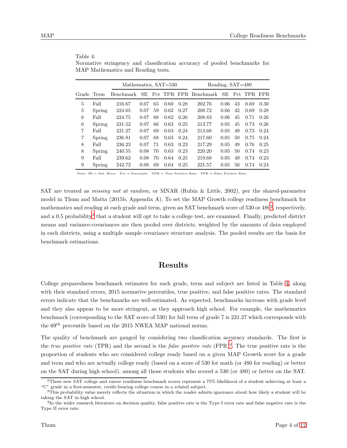|                |        | <u><b>Exists</b></u> Information and Iteaching Testos. |      |    |      |      |                       |      |    |             |      |  |  |
|----------------|--------|--------------------------------------------------------|------|----|------|------|-----------------------|------|----|-------------|------|--|--|
|                |        | Mathematics, SAT=530                                   |      |    |      |      | Reading, SAT=480      |      |    |             |      |  |  |
| Grade Term     |        | Benchmark                                              | SE   |    |      |      | Pct TPR FPR Benchmark | - SE |    | Pct TPR FPR |      |  |  |
| 5              | Fall   | 216.67                                                 | 0.07 | 65 | 0.60 | 0.28 | 202.76                | 0.06 | 43 | 0.69        | 0.30 |  |  |
| 5              | Spring | 224.65                                                 | 0.07 | 59 | 0.62 | 0.27 | 208.72                | 0.06 | 42 | 0.69        | 0.28 |  |  |
| 6              | Fall   | 224.75                                                 | 0.07 | 68 | 0.62 | 0.26 | 208.83                | 0.06 | 45 | 0.71        | 0.26 |  |  |
| 6              | Spring | 231.52                                                 | 0.07 | 66 | 0.63 | 0.25 | 213.77                | 0.05 | 45 | 0.73        | 0.26 |  |  |
| $\overline{7}$ | Fall   | 231.27                                                 | 0.07 | 69 | 0.63 | 0.24 | 213.68                | 0.05 | 49 | 0.73        | 0.24 |  |  |
| $\overline{7}$ | Spring | 236.81                                                 | 0.07 | 68 | 0.63 | 0.24 | 217.60                | 0.05 | 50 | 0.75        | 0.24 |  |  |
| 8              | Fall   | 236.23                                                 | 0.07 | 71 | 0.63 | 0.23 | 217.29                | 0.05 | 49 | 0.76        | 0.25 |  |  |
| 8              | Spring | 240.55                                                 | 0.08 | 70 | 0.63 | 0.23 | 220.20                | 0.05 | 50 | 0.74        | 0.23 |  |  |
| 9              | Fall   | 239.62                                                 | 0.08 | 70 | 0.64 | 0.25 | 219.68                | 0.05 | 49 | 0.74        | 0.23 |  |  |
| 9              | Spring | 242.72                                                 | 0.08 | 69 | 0.64 | 0.25 | 221.57                | 0.05 | 50 | 0.74        | 0.24 |  |  |

<span id="page-5-2"></span>Table 4: Normative stringency and classification accuracy of pooled benchmarks for MAP Mathematics and Reading tests.

Note:  $SE = Std$ . Error  $Pct = Percentage$  TPR = True Positive Rate FPR = False Positive Rate

SAT are treated as *missing not at random*, or MNAR (Rubin & Little, 2002), per the shared-parameter model in Thum and Matta (2015b, Appendix A). To set the MAP Growth college readiness benchmark for mathematics and reading at each grade and term, given an SAT benchmark score of 530 or 480<sup>[2](#page-5-0)</sup>, respectively, and a 0.5 probability<sup>[3](#page-5-1)</sup> that a student will opt to take a college test, are examined. Finally, predicted district means and variance-covariances are then pooled over districts, weighted by the amounts of data employed in each districts, using a multiple sample covariance structure analysis. The pooled results are the basis for benchmark estimations.

## Results

College preparedness benchmark estimates for each grade, term and subject are listed in Table [4,](#page-5-2) along with their standard errors, 2015 normative percentiles, true positive, and false positive rates. The standard errors indicate that the benchmarks are well-estimated. As expected, benchmarks increase with grade level and they also appear to be more stringent, as they approach high school. For example, the mathematics benchmark (corresponding to the SAT score of 530) for fall term of grade 7 is 231.27 which corresponds with the 69th percentile based on the 2015 NWEA MAP national norms.

The quality of benchmark are gauged by considering two classification accuracy standards. The first is the *true positive rate* (TPR) and the second is the *false positive rate* (FPR)<sup>[4](#page-5-3)</sup>. The true positive rate is the proportion of students who are considered college ready based on a given MAP Growth score for a grade and term and who are actually college ready (based on a score of 530 for math (or 480 for reading) or better on the SAT during high school), among all those students who scored a 530 (or 480) or better on the SAT.

<sup>2</sup>These new SAT college and career readiness benchmark scores represent a 75% likelihood of a student achieving at least a "C" grade in a first-semester, credit-bearing college course in a related subject.

<span id="page-5-0"></span> $3$ This probability value merely reflects the situation in which the reader admits ignorance about how likely a student will be taking the SAT in high school.

<span id="page-5-3"></span><span id="page-5-1"></span><sup>&</sup>lt;sup>4</sup>In the wider research literature on decision quality, false positive rate is the Type I error rate and false negative rate is the Type II error rate.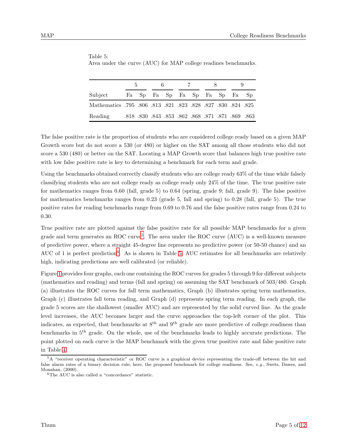|                                                                         | 5. |  | 6 |  | 7                                                 |  |  |  |  |
|-------------------------------------------------------------------------|----|--|---|--|---------------------------------------------------|--|--|--|--|
| Subject                                                                 |    |  |   |  | Fa Sp Fa Sp Fa Sp Fa Sp Fa Sp                     |  |  |  |  |
| 821. 824. 828. 827. 828. 828. 828. 821. 813. 813. 826. 795. Mathematics |    |  |   |  |                                                   |  |  |  |  |
| Reading                                                                 |    |  |   |  | .818 .830 .843 .853 .862 .868 .871 .871 .869 .863 |  |  |  |  |

<span id="page-6-2"></span>Table 5: Area under the curve (AUC) for MAP college readines benchmarks.

The false positive rate is the proportion of students who are considered college ready based on a given MAP Growth score but do not score a 530 (or 480) or higher on the SAT among all those students who did not score a 530 (480) or better on the SAT. Locating a MAP Growth score that balances high true positive rate with low false positive rate is key to determining a benchmark for each term and grade.

Using the benchmarks obtained correctly classify students who are college ready 63% of the time while falsely classifying students who are not college ready as college ready only 24% of the time. The true positive rate for mathematics ranges from 0.60 (fall, grade 5) to 0.64 (spring, grade 9; fall, grade 9). The false positive for mathematics benchmarks ranges from 0.23 (grade 5, fall and spring) to 0.28 (fall, grade 5). The true positive rates for reading benchmarks range from 0.69 to 0.76 and the false positive rates range from 0.24 to 0.30.

True positive rate are plotted against the false positive rate for all possible MAP benchmarks for a given grade and term generates an ROC curve<sup>[5](#page-6-0)</sup>. The area under the ROC curve (AUC) is a well-known measure of predictive power, where a straight 45-degree line represents no predictive power (or 50-50 chance) and an AUC of 1 is perfect prediction<sup>[6](#page-6-1)</sup>. As is shown in Table [5,](#page-6-2) AUC estimates for all benchmarks are relatively high, indicating predictions are well calibrated (or reliable).

Figure [1](#page-7-0) provides four graphs, each one containing the ROC curves for grades 5 through 9 for different subjects (mathematics and reading) and terms (fall and spring) on assuming the SAT benchmark of 503/480. Graph (a) illustrates the ROC curves for fall term mathematics, Graph (b) illustrates spring term mathematics, Graph (c) illustrates fall term reading, and Graph (d) represents spring term reading. In each graph, the grade 5 scores are the shallowest (smaller AUC) and are represented by the solid curved line. As the grade level increases, the AUC becomes larger and the curve approaches the top-left corner of the plot. This indicates, as expected, that benchmarks at  $8<sup>th</sup>$  and  $9<sup>th</sup>$  grade are more predictive of college readiness than benchmarks in 5th grade. On the whole, use of the benchmarks leads to highly accurate predictions. The point plotted on each curve is the MAP benchmark with the given true positive rate and false positive rate in Table [4.](#page-5-2)

<span id="page-6-0"></span> $5A$  "receiver operating characteristic" or ROC curve is a graphical device representing the trade-off between the hit and false alarm rates of a binary decision rule; here, the proposed benchmark for college readiness. See, e.g., Swets, Dawes, and Monahan, (2000).

<span id="page-6-1"></span><sup>6</sup>The AUC is also called a "concordance" statistic.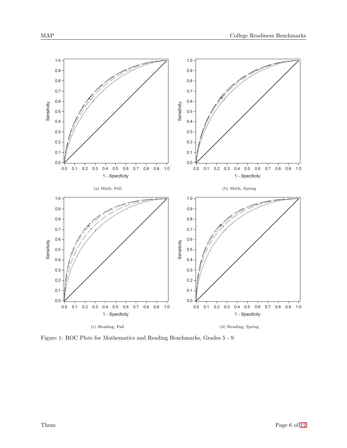<span id="page-7-0"></span>

Figure 1: ROC Plots for Mathematics and Reading Benchmarks, Grades 5 - 9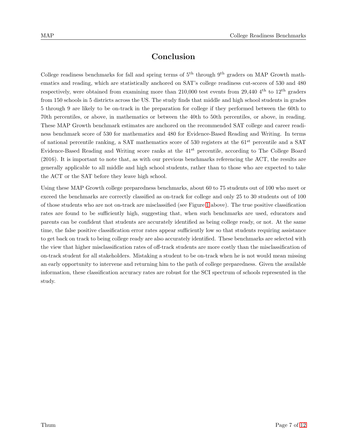## Conclusion

College readiness benchmarks for fall and spring terms of 5<sup>th</sup> through 9<sup>th</sup> graders on MAP Growth mathematics and reading, which are statistically anchored on SAT's college readiness cut-scores of 530 and 480 respectively, were obtained from examining more than 210,000 test events from 29,440 4<sup>th</sup> to 12<sup>th</sup> graders from 150 schools in 5 districts across the US. The study finds that middle and high school students in grades 5 through 9 are likely to be on-track in the preparation for college if they performed between the 60th to 70th percentiles, or above, in mathematics or between the 40th to 50th percentiles, or above, in reading. These MAP Growth benchmark estimates are anchored on the recommended SAT college and career readiness benchmark score of 530 for mathematics and 480 for Evidence-Based Reading and Writing. In terms of national percentile ranking, a SAT mathematics score of 530 registers at the 61<sup>st</sup> percentile and a SAT Evidence-Based Reading and Writing score ranks at the 41st percentile, according to The College Board (2016). It is important to note that, as with our previous benchmarks referencing the ACT, the results are generally applicable to all middle and high school students, rather than to those who are expected to take the ACT or the SAT before they leave high school.

Using these MAP Growth college preparedness benchmarks, about 60 to 75 students out of 100 who meet or exceed the benchmarks are correctly classified as on-track for college and only 25 to 30 students out of 100 of those students who are not on-track are misclassified (see Figure [1](#page-7-0) above). The true positive classification rates are found to be sufficiently high, suggesting that, when such benchmarks are used, educators and parents can be confident that students are accurately identified as being college ready, or not. At the same time, the false positive classification error rates appear sufficiently low so that students requiring assistance to get back on track to being college ready are also accurately identified. These benchmarks are selected with the view that higher misclassification rates of off-track students are more costly than the misclassification of on-track student for all stakeholders. Mistaking a student to be on-track when he is not would mean missing an early opportunity to intervene and returning him to the path of college preparedness. Given the available information, these classification accuracy rates are robust for the SCI spectrum of schools represented in the study.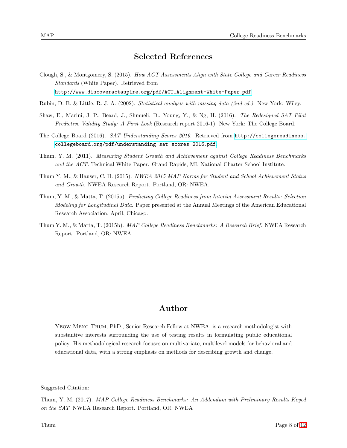## Selected References

Clough, S., & Montgomery, S. (2015). *How ACT Assessments Align with State College and Career Readiness Standards* (White Paper). Retrieved from

[http://www.discoveractaspire.org/pdf/ACT\\_Alignment-White-Paper.pdf](http://www.discoveractaspire.org/pdf/ACT_Alignment-White-Paper.pdf).

- Rubin, D. B. & Little, R. J. A. (2002). *Statistical analysis with missing data (2nd ed.)*. New York: Wiley.
- Shaw, E., Marini, J. P., Beard, J., Shmueli, D., Young, Y., & Ng, H. (2016). *The Redesigned SAT Pilot Predictive Validity Study: A First Look* (Research report 2016-1). New York: The College Board.
- The College Board (2016). *SAT Understanding Scores 2016*. Retrieved from [http://collegereadiness.](http://collegereadiness.collegeboard.org/pdf/understanding-sat-scores-2016.pdf) [collegeboard.org/pdf/understanding-sat-scores-2016.pdf](http://collegereadiness.collegeboard.org/pdf/understanding-sat-scores-2016.pdf).
- Thum, Y. M. (2011). *Measuring Student Growth and Achievement against College Readiness Benchmarks and the ACT.* Technical White Paper. Grand Rapids, MI: National Charter School Institute.
- Thum Y. M., & Hauser, C. H. (2015). *NWEA 2015 MAP Norms for Student and School Achievement Status and Growth*. NWEA Research Report. Portland, OR: NWEA.
- Thum, Y. M., & Matta, T. (2015a). *Predicting College Readiness from Interim Assessment Results: Selection Modeling for Longitudinal Data*. Paper presented at the Annual Meetings of the American Educational Research Association, April, Chicago.
- Thum Y. M., & Matta, T. (2015b). *MAP College Readiness Benchmarks: A Research Brief*. NWEA Research Report. Portland, OR: NWEA

## Author

Yeow Meng Thum, PhD., Senior Research Fellow at NWEA, is a research methodologist with substantive interests surrounding the use of testing results in formulating public educational policy. His methodological research focuses on multivariate, multilevel models for behavioral and educational data, with a strong emphasis on methods for describing growth and change.

Suggested Citation:

Thum, Y. M. (2017). *MAP College Readiness Benchmarks: An Addendum with Preliminary Results Keyed on the SAT*. NWEA Research Report. Portland, OR: NWEA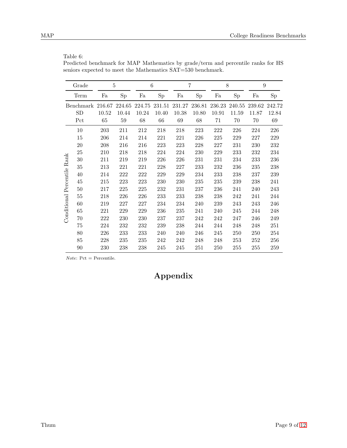### Table 6:

Predicted benchmark for MAP Mathematics by grade/term and percentile ranks for HS seniors expected to meet the Mathematics SAT=530 benchmark.

|                        | Grade            | 5      |         | 6      |        |        | 7      | 8      |        | 9      |        |
|------------------------|------------------|--------|---------|--------|--------|--------|--------|--------|--------|--------|--------|
|                        | Term             | Fa     | Sp      | Fa     | Sp     | Fa     | Sp     | Fa     | Sp     | Fa     | Sp     |
|                        | <b>Benchmark</b> | 216.67 | 224.65  | 224.75 | 231.51 | 231.27 | 236.81 | 236.23 | 240.55 | 239.62 | 242.72 |
|                        | SD               | 10.52  | 10.44   | 10.24  | 10.40  | 10.38  | 10.80  | 10.91  | 11.59  | 11.87  | 12.84  |
|                        | Pct              | 65     | $59\,$  | 68     | 66     | 69     | 68     | 71     | 70     | 70     | 69     |
|                        | 10               | 203    | 211     | 212    | 218    | 218    | 223    | 222    | 226    | 224    | 226    |
|                        | 15               | 206    | 214     | 214    | 221    | 221    | 226    | 225    | 229    | 227    | 229    |
|                        | 20               | 208    | 216     | 216    | 223    | 223    | 228    | 227    | 231    | 230    | 232    |
|                        | 25               | 210    | 218     | 218    | 224    | 224    | 230    | 229    | 233    | 232    | 234    |
| Rank                   | 30               | 211    | 219     | 219    | 226    | 226    | 231    | 231    | 234    | 233    | 236    |
|                        | 35               | 213    | 221     | 221    | 228    | 227    | 233    | 232    | 236    | 235    | 238    |
|                        | 40               | 214    | $222\,$ | 222    | 229    | 229    | 234    | 233    | 238    | 237    | 239    |
|                        | 45               | 215    | 223     | 223    | 230    | 230    | 235    | 235    | 239    | 238    | 241    |
|                        | 50               | 217    | 225     | 225    | 232    | 231    | 237    | 236    | 241    | 240    | 243    |
|                        | 55               | 218    | 226     | 226    | 233    | 233    | 238    | 238    | 242    | 241    | 244    |
|                        | 60               | 219    | 227     | 227    | 234    | 234    | 240    | 239    | 243    | 243    | 246    |
|                        | 65               | 221    | 229     | 229    | 236    | 235    | 241    | 240    | 245    | 244    | 248    |
| Conditional Percentile | 70               | 222    | 230     | 230    | 237    | 237    | 242    | 242    | 247    | 246    | 249    |
|                        | 75               | 224    | 232     | 232    | 239    | 238    | 244    | 244    | 248    | 248    | 251    |
|                        | 80               | 226    | 233     | 233    | 240    | 240    | 246    | 245    | 250    | 250    | 254    |
|                        | 85               | 228    | 235     | 235    | 242    | 242    | 248    | 248    | 253    | 252    | 256    |
|                        | 90               | 230    | 238     | 238    | 245    | 245    | 251    | 250    | 255    | 255    | 259    |

 $Note:$  Pct = Percentile.

## Appendix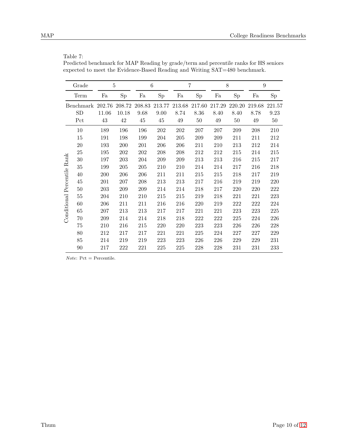| ,<br>÷<br>×<br>٩ |  |
|------------------|--|
|                  |  |

Predicted benchmark for MAP Reading by grade/term and percentile ranks for HS seniors expected to meet the Evidence-Based Reading and Writing SAT=480 benchmark.

|                        | Grade     | 5      |        | 6      |        |        | 7      | 8      |         | 9      |        |  |
|------------------------|-----------|--------|--------|--------|--------|--------|--------|--------|---------|--------|--------|--|
|                        | Term      | Fa     | Sp     | Fa     | Sp     | Fa     | Sp     | Fa     | Sp      | Fa     | Sp     |  |
|                        | Benchmark | 202.76 | 208.72 | 208.83 | 213.77 | 213.68 | 217.60 | 217.29 | 220.20  | 219.68 | 221.57 |  |
|                        | SD        | 11.06  | 10.18  | 9.68   | 9.00   | 8.74   | 8.36   | 8.40   | 8.40    | 8.78   | 9.23   |  |
|                        | Pct       | 43     | 42     | 45     | 45     | 49     | 50     | 49     | 50      | 49     | 50     |  |
|                        | 10        | 189    | 196    | 196    | 202    | 202    | 207    | 207    | 209     | 208    | 210    |  |
|                        | 15        | 191    | 198    | 199    | 204    | 205    | 209    | 209    | 211     | 211    | 212    |  |
|                        | 20        | 193    | 200    | 201    | 206    | 206    | 211    | 210    | 213     | 212    | 214    |  |
|                        | 25        | 195    | 202    | 202    | 208    | 208    | 212    | 212    | 215     | 214    | 215    |  |
| Rank                   | 30        | 197    | 203    | 204    | 209    | 209    | 213    | 213    | 216     | 215    | 217    |  |
|                        | 35        | 199    | 205    | 205    | 210    | 210    | 214    | 214    | 217     | 216    | 218    |  |
|                        | 40        | 200    | 206    | 206    | 211    | 211    | 215    | 215    | 218     | 217    | 219    |  |
|                        | 45        | 201    | 207    | 208    | 213    | 213    | 217    | 216    | 219     | 219    | 220    |  |
|                        | $50\,$    | 203    | 209    | 209    | 214    | 214    | 218    | 217    | 220     | 220    | 222    |  |
|                        | 55        | 204    | 210    | 210    | 215    | 215    | 219    | 218    | 221     | 221    | 223    |  |
| Conditional Percentile | 60        | 206    | 211    | 211    | 216    | 216    | 220    | 219    | 222     | 222    | 224    |  |
|                        | 65        | 207    | 213    | 213    | 217    | 217    | 221    | 221    | 223     | 223    | 225    |  |
|                        | $70\,$    | 209    | 214    | 214    | 218    | 218    | 222    | 222    | $225\,$ | 224    | 226    |  |
|                        | 75        | 210    | 216    | 215    | 220    | 220    | 223    | 223    | 226     | 226    | 228    |  |
|                        | 80        | 212    | 217    | 217    | 221    | 221    | 225    | 224    | 227     | 227    | 229    |  |
|                        | 85        | 214    | 219    | 219    | 223    | 223    | 226    | 226    | $229\,$ | 229    | 231    |  |
|                        | 90        | 217    | 222    | 221    | 225    | 225    | 228    | 228    | 231     | 231    | 233    |  |

 $Note:$  Pct = Percentile.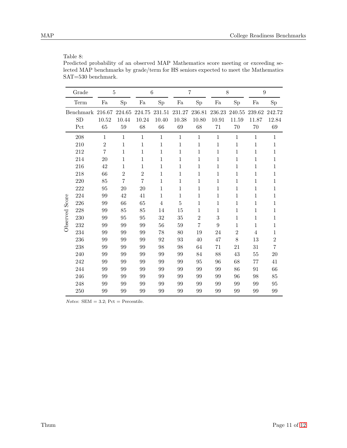## Table 8:

Predicted probability of an observed MAP Mathematics score meeting or exceeding selected MAP benchmarks by grade/term for HS seniors expected to meet the Mathematics SAT=530 benchmark.

| Grade                 |                 | 5               |                 | $\,6$           |                 | $\overline{7}$  |                  | 8                | 9               |                 |
|-----------------------|-----------------|-----------------|-----------------|-----------------|-----------------|-----------------|------------------|------------------|-----------------|-----------------|
| Term                  | Fa              | Sp              | Fa              | Sp              | Fa              | Sp              | Fa               | $_{\mathrm{Sp}}$ | Fa              | Sp              |
| Benchmark<br>SD       | 216.67<br>10.52 | 224.65<br>10.44 | 224.75<br>10.24 | 231.51<br>10.40 | 231.27<br>10.38 | 236.81<br>10.80 | 236.23<br>10.91  | 240.55<br>11.59  | 239.62<br>11.87 | 242.72<br>12.84 |
| Pct                   | 65              | 59              | 68              | 66              | 69              | 68              | 71               | 70               | 70              | 69              |
| 208                   | $\mathbf{1}$    | $\mathbf{1}$    | $\mathbf{1}$    | $\mathbf{1}$    | $\,1\,$         | $\mathbf{1}$    | $\,1\,$          | $\mathbf{1}$     | $1\,$           | $\mathbf{1}$    |
| 210                   | $\overline{2}$  | $\mathbf 1$     | 1               | $\mathbf 1$     | $\mathbf{1}$    | $\mathbf 1$     | 1                | 1                | $\mathbf{1}$    | $\,1\,$         |
| 212                   | $\overline{7}$  | $\mathbf{1}$    | 1               | 1               | $\mathbf{1}$    | $\mathbf 1$     | 1                | 1                | $\mathbf{1}$    | $\mathbf{1}$    |
| 214                   | 20              | 1               | 1               | 1               | $\mathbf{1}$    | $\mathbf 1$     | 1                | 1                | $\mathbf{1}$    | 1               |
| 216                   | 42              | $\mathbf 1$     | 1               | 1               | $\mathbf{1}$    | $\mathbf 1$     | 1                | 1                | 1               | $\,1$           |
| 218                   | 66              | $\overline{2}$  | $\overline{2}$  | 1               | 1               | 1               | 1                | 1                | 1               | 1               |
| 220                   | 85              | 7               | 7               | 1               | $\mathbf{1}$    | $\mathbf 1$     | 1                | 1                | $\mathbf{1}$    | $\mathbf{1}$    |
| 222                   | 95              | 20              | 20              | $\mathbf{1}$    | $\mathbf{1}$    | $\mathbf{1}$    | $\mathbf{1}$     | 1                | $\mathbf{1}$    | $\,1\,$         |
| 224                   | 99              | 42              | 41              | 1               | 1               | 1               | 1                | 1                | 1               | $\mathbf 1$     |
| 226                   | 99              | 66              | 65              | 4               | $\overline{5}$  | $\mathbf 1$     | 1                | 1                | $\mathbf{1}$    | $\,1\,$         |
| Observed Score<br>228 | 99              | 85              | 85              | 14              | 15              | $\mathbf{1}$    | $\mathbf{1}$     | 1                | $\mathbf{1}$    | $\,1$           |
| 230                   | 99              | 95              | 95              | 32              | 35              | $\overline{2}$  | $\sqrt{3}$       | 1                | $\mathbf{1}$    | $\mathbf 1$     |
| 232                   | 99              | 99              | 99              | 56              | 59              | $\overline{7}$  | $\boldsymbol{9}$ | 1                | $\mathbf{1}$    | $\,1$           |
| 234                   | 99              | 99              | 99              | 78              | 80              | 19              | 24               | $\mathbf{2}$     | $\overline{4}$  | $\,1$           |
| 236                   | 99              | 99              | 99              | 92              | 93              | 40              | 47               | 8                | 13              | $\overline{2}$  |
| 238                   | 99              | 99              | 99              | 98              | 98              | 64              | 71               | 21               | 31              | $\overline{7}$  |
| 240                   | 99              | 99              | 99              | 99              | 99              | 84              | 88               | 43               | 55              | 20              |
| 242                   | 99              | 99              | 99              | 99              | 99              | 95              | 96               | 68               | 77              | 41              |
| 244                   | 99              | 99              | 99              | 99              | 99              | 99              | 99               | 86               | 91              | 66              |
| 246                   | 99              | 99              | 99              | 99              | 99              | 99              | 99               | 96               | 98              | 85              |
| 248                   | 99              | 99              | 99              | 99              | 99              | 99              | 99               | 99               | 99              | 95              |
| 250                   | 99              | 99              | 99              | 99              | 99              | 99              | 99               | 99               | 99              | 99              |

 $Notes: SEM = 3.2; Pet = Percentile.$